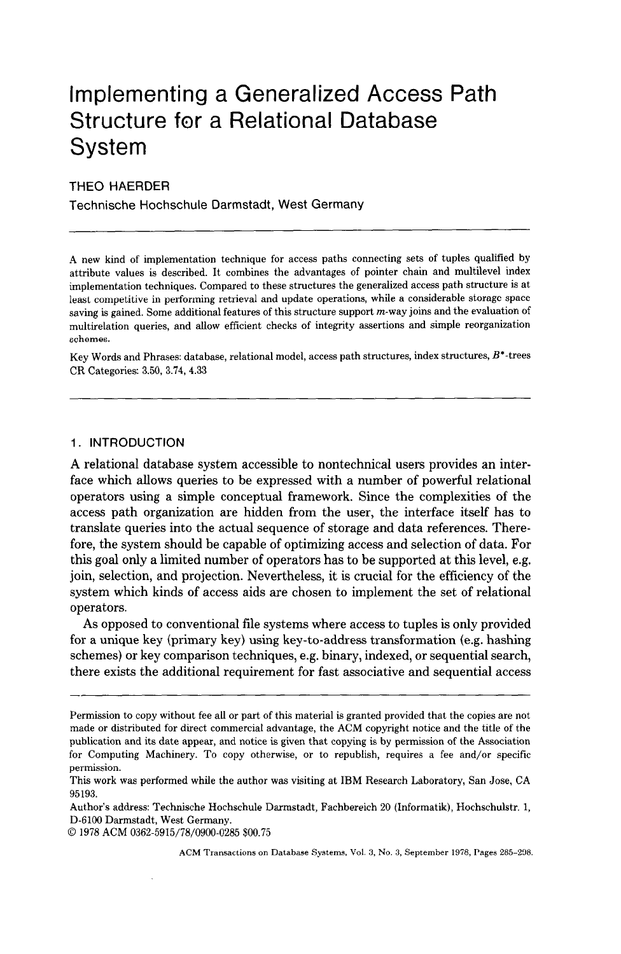# implementing a Generalized Access Path Structure for a Relational Database System

# THEO HAERDER

Technische Hochschule Darmstadt, West Germany

A new kind of implementation technique for access paths connecting sets of tuples qualified by attribute values is described. It combines the advantages of pointer chain and multilevel index implementation techniques. Compared to these structures the generalized access path structure is at least competitive in performing retrieval and update operations, while a considerable storage space saving is gained. Some additional features of this structure support  $m$ -way joins and the evaluation of multirelation queries, and allow efficient checks of integrity assertions and simple reorganization schemes.

Key Words and Phrases: database, relational model, access path structures, index structures, B\*-trees CR Categories: 3.50, 3.74, 4.33

#### 1. INTRODUCTION

A relational database system accessible to nontechnical users provides an interface which allows queries to be expressed with a number of powerful relational operators using a simple conceptual framework. Since the complexities of the access path organization are hidden from the user, the interface itself has to translate queries into the actual sequence of storage and data references. Therefore, the system should be capable of optimizing access and selection of data. For this goal only a limited number of operators has to be supported at this level, e.g. join, selection, and projection. Nevertheless, it is crucial for the efficiency of the system which kinds of access aids are chosen to implement the set of relational operators.

As opposed to conventional file systems where access to tuples is only provided for a unique key (primary key) using key-to-address transformation (e.g. hashing schemes) or key comparison techniques, e.g. binary, indexed, or sequential search, there exists the additional requirement for fast associative and sequential access

ACM Transactions on Database Systems. Vol. 3, No. 3, September 1978, Pages 285-298.

Permission to copy without fee all or part of this material is granted provided that the copies are not made or distributed for direct commercial advantage, the ACM copyright notice and the title of the publication and its date appear, and notice is given that copying is by permission of the Association for Computing Machinery. To copy otherwise, or to republish, requires a fee and/or specific permission.

This work was performed while the author was visiting at IBM Research Laboratory, San Jose, CA 95193.

Author's address: Technische Hochschule Darmstadt, Fachbereich 20 (Informatik), Hochschulstr. 1, D-6100 Darmstadt, West Germany.

<sup>0 1978</sup> ACM 0362.5915/78/0900-0285 \$00.75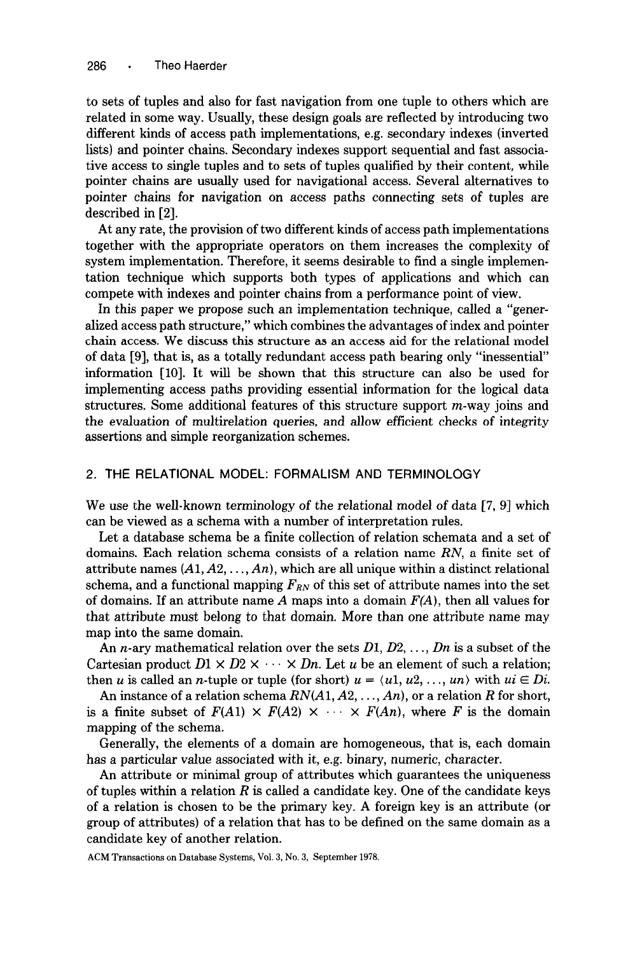to sets of tuples and also for fast navigation from one tuple to others which are related in some way. Usually, these design goals are reflected by introducing two different kinds of access path implementations, e.g. secondary indexes (inverted lists) and pointer chains. Secondary indexes support sequential and fast associative access to single tuples and to sets of tuples qualified by their content, while pointer chains are usually used for navigational access. Several alternatives to pointer chains for navigation on access paths connecting sets of tuples are described in [2].

At any rate, the provision of two different kinds of access path implementations together with the appropriate operators on them increases the complexity of system implementation. Therefore, it seems desirable to find a single implementation technique which supports both types of applications and which can compete with indexes and pointer chains from a performance point of view.

In this paper we propose such an implementation technique, called a "generalized access path structure," which combines the advantages of index and pointer chain access. We discuss this structure as an access aid for the relational model of data [9], that is, as a totally redundant access path bearing only "inessential" information [lo]. It will be shown that this structure can also be used for implementing access paths providing essential information for the logical data structures. Some additional features of this structure support  $m$ -way joins and the evaluation of multirelation queries, and allow efficient checks of integrity assertions and simple reorganization schemes.

# 2. THE RELATIONAL MODEL: FORMALISM AND TERMINOLOGY

We use the well-known terminology of the relational model of data [7, 9] which can be viewed as a schema with a number of interpretation rules.

Let a database schema be a finite collection of relation schemata and a set of domains. Each relation schema consists of a relation name RN, a finite set of attribute names  $(A1, A2, \ldots, An)$ , which are all unique within a distinct relational schema, and a functional mapping  $F_{RN}$  of this set of attribute names into the set of domains. If an attribute name A maps into a domain  $F(A)$ , then all values for that attribute must belong to that domain. More than one attribute name may map into the same domain.

An *n*-ary mathematical relation over the sets  $D_1, D_2, \ldots, D_n$  is a subset of the Cartesian product  $D_1 \times D_2 \times \cdots \times D_n$ . Let u be an element of such a relation; then u is called an n-tuple or tuple (for short)  $u = \langle u_1, u_2, \ldots, u_n \rangle$  with  $ui \in Di$ .

An instance of a relation schema  $RN(A1, A2, \ldots, An)$ , or a relation R for short, is a finite subset of  $F(A1) \times F(A2) \times \cdots \times F(An)$ , where F is the domain mapping of the schema.

Generally, the elements of a domain are homogeneous, that is, each domain has a particular value associated with it, e.g. binary, numeric, character.

An attribute or minimal group of attributes which guarantees the uniqueness of tuples within a relation  $R$  is called a candidate key. One of the candidate keys of a relation is chosen to be the primary key. A foreign key is an attribute (or group of attributes) of a relation that has to be defined on the same domain as a candidate key of another relation.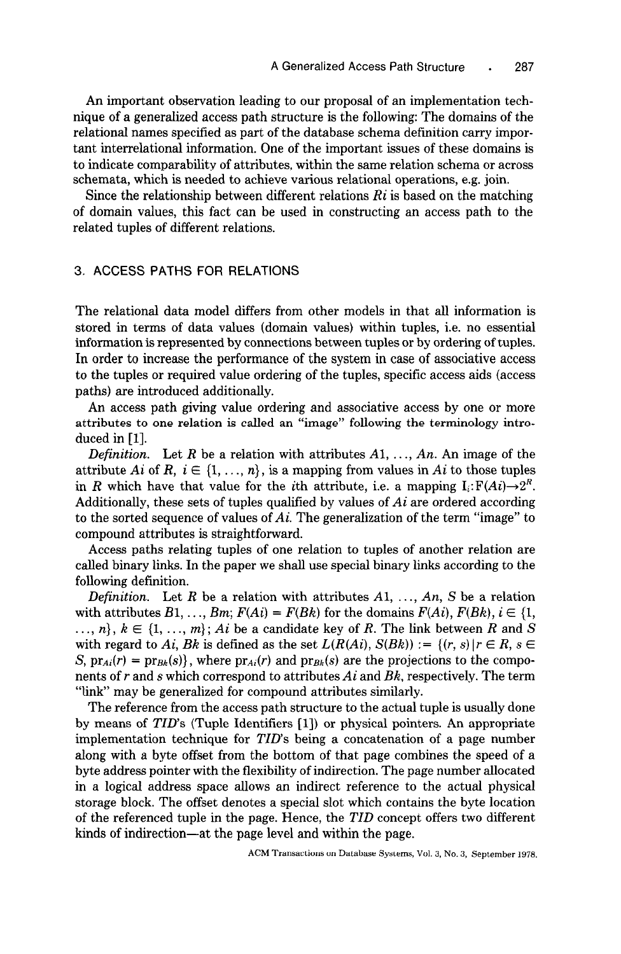An important observation leading to our proposal of an implementation technique of a generalized access path structure is the following: The domains of the relational names specified as part of the database schema definition carry important interrelational information. One of the important issues of these domains is to indicate comparability of attributes, within the same relation schema or across schemata, which is needed to achieve various relational operations, e.g. join.

Since the relationship between different relations  $Ri$  is based on the matching of domain values, this fact can be used in constructing an access path to the related tuples of different relations.

### 3. ACCESS PATHS FOR RELATIONS

The relational data model differs from other models in that all information is stored in terms of data values (domain values) within tuples, i.e. no essential information is represented by connections between tuples or by ordering of tuples. In order to increase the performance of the system in case of associative access to the tuples or required value ordering of the tuples, specific access aids (access paths) are introduced additionally.

An access path giving value ordering and associative access by one or more attributes to one relation is called an "image" following the terminology introduced in [l].

*Definition.* Let R be a relation with attributes  $A_1, \ldots, A_n$ . An image of the attribute Ai of R,  $i \in \{1, ..., n\}$ , is a mapping from values in Ai to those tuples in R which have that value for the *i*th attribute, i.e. a mapping  $I_i$ :  $F(Ai) \rightarrow 2^R$ . Additionally, these sets of tuples qualified by values of  $Ai$  are ordered according to the sorted sequence of values of  $Ai$ . The generalization of the term "image" to compound attributes is straightforward.

Access paths relating tuples of one relation to tuples of another relation are called binary links. In the paper we shall use special binary links according to the following definition.

*Definition.* Let R be a relation with attributes  $A1, \ldots, An$ , S be a relation with attributes B1, ..., Bm;  $F(Ai) = F(Bk)$  for the domains  $F(Ai)$ ,  $F(Bk)$ ,  $i \in \{1,$  $\ldots$ , n,  $k \in \{1, \ldots, m\}$ ; Ai be a candidate key of R. The link between R and S with regard to Ai, Bk is defined as the set  $L(R(Ai), S(Bk)) := \{(r, s) | r \in R, s \in$ S,  $pr_{Ai}(r) = pr_{Bk}(s)$ , where  $pr_{Ai}(r)$  and  $pr_{Bk}(s)$  are the projections to the components of r and s which correspond to attributes  $Ai$  and  $Bk$ , respectively. The term "link" may be generalized for compound attributes similarly.

The reference from the access path structure to the actual tuple is usually done by means of TID's (Tuple Identifiers [1]) or physical pointers. An appropriate implementation technique for TID's being a concatenation of a page number along with a byte offset from the bottom of that page combines the speed of a byte address pointer with the flexibility of indirection. The page number allocated in a logical address space allows an indirect reference to the actual physical storage block. The offset denotes a special slot which contains the byte location of the referenced tuple in the page. Hence, the TID concept offers two different kinds of indirection-at the page level and within the page.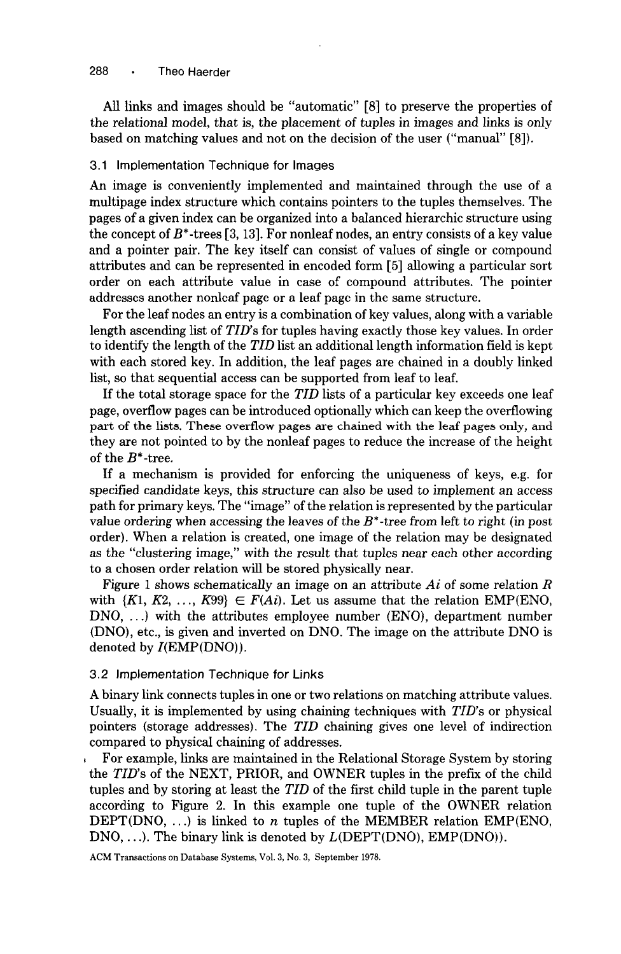#### 288 · Theo Haerder

All links and images should be "automatic" [8] to preserve the properties of the relational model, that is, the placement of tuples in images and links is only based on matching values and not on the decision of the user ("manual" [8]).

## 3.1 Implementation Technique for Images

An image is conveniently implemented and maintained through the use of a multipage index structure which contains pointers to the tuples themselves. The pages of a given index can be organized into a balanced hierarchic structure using the concept of  $B^*$ -trees [3, 13]. For nonleaf nodes, an entry consists of a key value and a pointer pair. The key itself can consist of values of single or compound attributes and can be represented in encoded form [5] allowing a particular sort order on each attribute value in case of compound attributes. The pointer addresses another nonleaf page or a leaf page in the same structure.

For the leaf nodes an entry is a combination of key values, along with a variable length ascending list of TID's for tuples having exactly those key values. In order to identify the length of the TID list an additional length information field is kept with each stored key. In addition, the leaf pages are chained in a doubly linked list, so that sequential access can be supported from leaf to leaf.

If the total storage space for the TID lists of a particular key exceeds one leaf page, overflow pages can be introduced optionally which can keep the overflowing part of the lists. These overflow pages are chained with the leaf pages only, and they are not pointed to by the nonleaf pages to reduce the increase of the height of the  $B^*$ -tree.

If a mechanism is provided for enforcing the uniqueness of keys, e.g. for specified candidate keys, this structure can also be used to implement an access path for primary keys. The "image" of the relation is represented by the particular value ordering when accessing the leaves of the  $B^*$ -tree from left to right (in post order). When a relation is created, one image of the relation may be designated as the "clustering image," with the result that tuples near each other according to a chosen order relation will be stored physically near.

Figure 1 shows schematically an image on an attribute  $Ai$  of some relation R with  $\{K1, K2, \ldots, K99\} \in F(A_i)$ . Let us assume that the relation EMP(ENO, DNO, . . .) with the attributes employee number (ENO), department number (DNO), etc., is given and inverted on DNO. The image on the attribute DNO is denoted by  $I(EMP(DNO))$ .

### 3.2 Implementation Technique for Links

A binary link connects tuples in one or two relations on matching attribute values. Usually, it is implemented by using chaining techniques with  $TID$ 's or physical pointers (storage addresses). The TID chaining gives one level of indirection compared to physical chaining of addresses.

1 For example, links are maintained in the Relational Storage System by storing the TID's of the NEXT, PRIOR, and OWNER tuples in the prefix of the child tuples and by storing at least the TID of the first child tuple in the parent tuple according to Figure 2. In this example one tuple of the OWNER relation DEPT(DNO, ...) is linked to n tuples of the MEMBER relation EMP(ENO, DNO, ...). The binary link is denoted by  $L(\text{DEPT}(\text{DNO}), \text{EMP}(\text{DNO}))$ .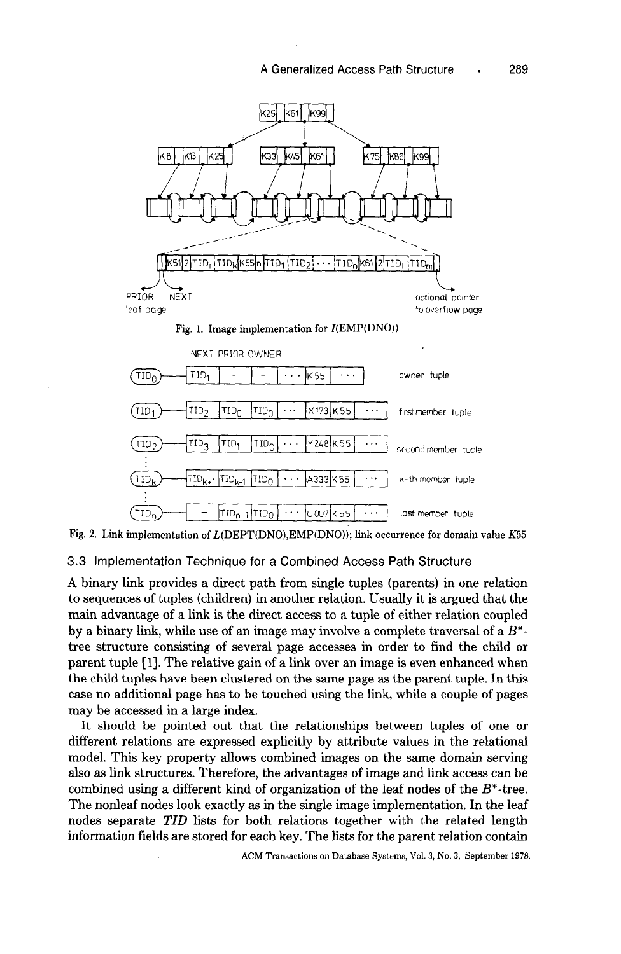

Fig. 2. Link implementation of  $L(DEF(DNO), EMP(DNO))$ ; link occurrence for domain value K55

# 3.3 Implementation Technique for a Combined Access Path Structure

A binary link provides a direct path from single tuples (parents) in one relation to sequences of tuples (children) in another relation. Usually it is argued that the main advantage of a link is the direct access to a tuple of either relation coupled by a binary link, while use of an image may involve a complete traversal of a  $B^*$ tree structure consisting of several page accesses in order to find the child or parent tuple [1]. The relative gain of a link over an image is even enhanced when the child tuples have been clustered on the same page as the parent tuple. In this case no additional page has to be touched using the link, while a couple of pages may be accessed in a large index.

It should be pointed out that the relationships between tuples of one or different relations are expressed explicitly by attribute values in the relational model. This key property allows combined images on the same domain serving also as link structures. Therefore, the advantages of image and link access can be combined using a different kind of organization of the leaf nodes of the  $B^*$ -tree. The nonleaf nodes look exactly as in the single image implementation. In the leaf nodes separate TID lists for both relations together with the related length information fields are stored for each key. The lists for the parent relation contain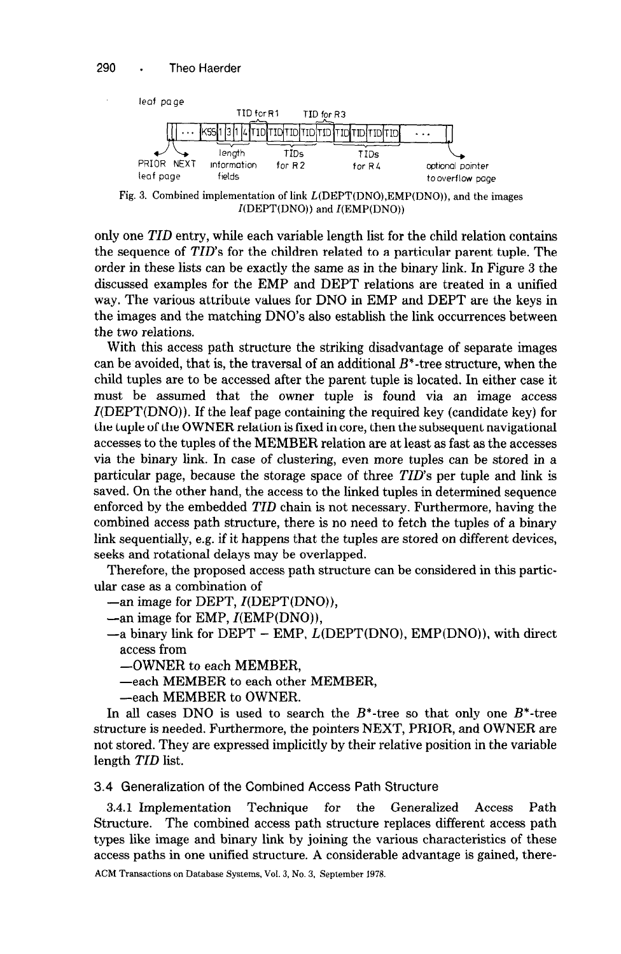

Fig. 3. Combined implementation of link L(DEPT(DNO),EMP(DNO)), and the images  $I(DEFT(DNO))$  and  $I(EMP(DNO))$ 

only one TID entry, while each variable length list for the child relation contains the sequence of TID's for the children related to a particular parent tuple. The order in these lists can be exactly the same as in the binary link. In Figure 3 the discussed examples for the EMP and DEPT relations are treated in a unified way. The various attribute values for DNO in EMP and DEPT are the keys in the images and the matching DNO's also establish the link occurrences between the two relations.

With this access path structure the striking disadvantage of separate images can be avoided, that is, the traversal of an additional  $B^*$ -tree structure, when the child tuples are to be accessed after the parent tuple is located. In either case it must be assumed that the owner tuple is found via an image access  $I(DEFT(DNO))$ . If the leaf page containing the required key (candidate key) for the tuple of the OWNER relation is fixed in core, then the subsequent navigational accesses to the tuples of the MEMBER relation are at least as fast as the accesses via the binary link. In case of clustering, even more tuples can be stored in a particular page, because the storage space of three TID's per tuple and link is saved. On the other hand, the access to the linked tuples in determined sequence enforced by the embedded TID chain is not necessary. Furthermore, having the combined access path structure, there is no need to fetch the tuples of a binary link sequentially, e.g. if it happens that the tuples are stored on different devices, seeks and rotational delays may be overlapped.

Therefore, the proposed access path structure can be considered in this particular case as a combination of

- $-$ an image for DEPT,  $I$ (DEPT(DNO)),
- $-$ an image for EMP,  $I(EMP(DNO))$ ,
- $-a$  binary link for DEPT EMP,  $L(DEPT(DNO))$ , EMP(DNO)), with direct access from
	- -OWNER to each MEMBER,
	- -each MEMBER to each other MEMBER,
	- -each MEMBER to OWNER.

In all cases DNO is used to search the  $B^*$ -tree so that only one  $B^*$ -tree structure is needed. Furthermore, the pointers NEXT, PRIOR, and OWNER are not stored. They are expressed implicitly by their relative position in the variable length TID list.

3.4 Generalization of the Combined Access Path Structure

3.4.1 Implementation Technique for the Generalized Access Path Structure. The combined access path structure replaces different access path types like image and binary link by joining the various characteristics of these access paths in one unified structure. A considerable advantage is gained, there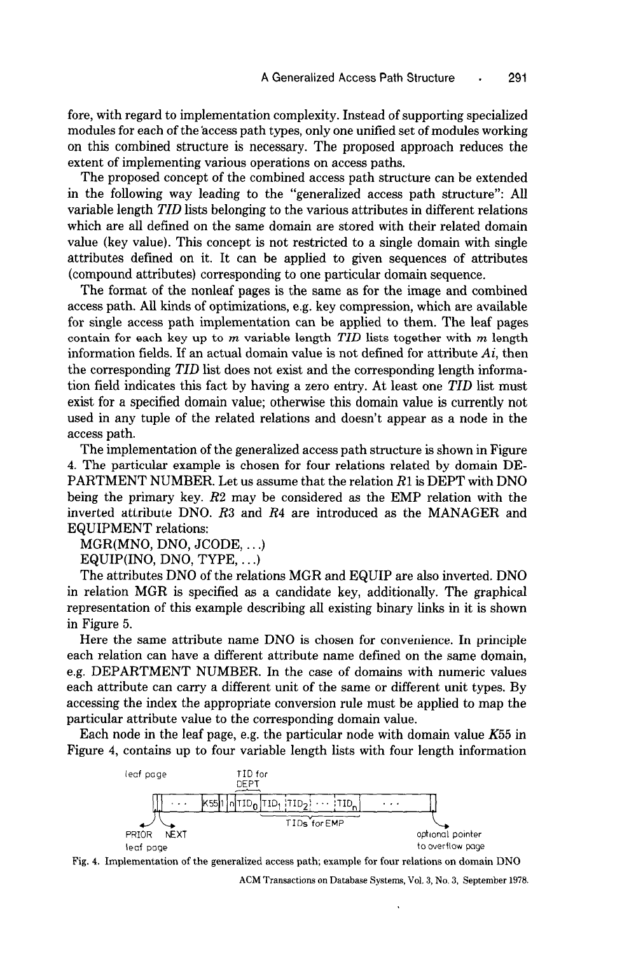fore, with regard to implementation complexity. Instead of supporting specialized modules for each of the'access path types, only one unified set of modules working on this combined structure is necessary. The proposed approach reduces the extent of implementing various operations on access paths.

The proposed concept of the combined access path structure can be extended in the following way leading to the "generalized access path structure": All variable length TID lists belonging to the various attributes in different relations which are all defined on the same domain are stored with their related domain value (key value). This concept is not restricted to a single domain with single attributes defined on it. It can be applied to given sequences of attributes (compound attributes) corresponding to one particular domain sequence.

The format of the nonleaf pages is the same as for the image and combined access path. All kinds of optimizations, e.g. key compression, which are available for single access path implementation can be applied to them. The leaf pages contain for each key up to  $m$  variable length  $TID$  lists together with  $m$  length information fields. If an actual domain value is not defined for attribute  $Ai$ , then the corresponding TID list does not exist and the corresponding length information field indicates this fact by having a zero entry. At least one TID list must exist for a specified domain value; otherwise this domain value is currently not used in any tuple of the related relations and doesn't appear as a node in the access path.

The implementation of the generalized access path structure is shown in Figure 4. The particular example is chosen for four relations related by domain DE-PARTMENT NUMBER. Let us assume that the relation Rl is DEPT with DNO being the primary key.  $R2$  may be considered as the EMP relation with the inverted attribute DNO. R3 and R4 are introduced as the MANAGER and EQUIPMENT relations:

MGR(MN0, DNO, JCODE, . . .)

EQUIP(IN0, DNO, TYPE, . . .)

The attributes DNO of the relations MGR and EQUIP are also inverted. DNO in relation MGR is specified as a candidate key, additionally. The graphical representation of this example describing all existing binary links in it is shown in Figure 5.

Here the same attribute name DNO is chosen for convenience. In principle each relation can have a different attribute name defined on the same domain, e.g. DEPARTMENT NUMBER. In the case of domains with numeric values each attribute can carry a different unit of the same or different unit types. By accessing the index the appropriate conversion rule must be applied to map the particular attribute value to the corresponding domain value.

Each node in the leaf page, e.g. the particular node with domain value K55 in Figure 4, contains up to four variable length lists with four length information



Fig. 4. Implementation of the generalized access path; example for four relations on domain DNO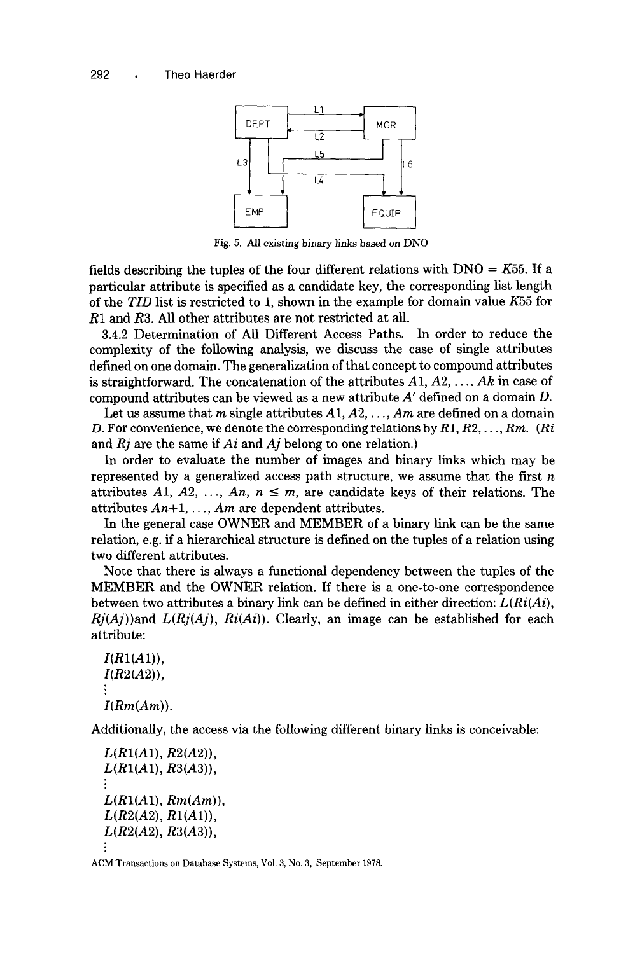

Fig. 5. All existing binary links based on DNO

fields describing the tuples of the four different relations with  $DNO = K55$ . If a particular attribute is specified as a candidate key, the corresponding list length of the TID list is restricted to 1, shown in the example for domain value  $K55$  for Rl and R3. All other attributes are not restricted at all.

3.4.2 Determination of All Different Access Paths. In order to reduce the complexity of the following analysis, we discuss the case of single attributes defined on one domain. The generalization of that concept to compound attributes is straightforward. The concatenation of the attributes  $A1, A2, \ldots, Ak$  in case of compound attributes can be viewed as a new attribute  $A'$  defined on a domain  $D$ .

Let us assume that m single attributes  $A1, A2, \ldots, Am$  are defined on a domain D. For convenience, we denote the corresponding relations by  $R_1, R_2, \ldots, R_m$ . (Ri and  $Rj$  are the same if  $Ai$  and  $Ai$  belong to one relation.)

In order to evaluate the number of images and binary links which may be represented by a generalized access path structure, we assume that the first  $n$ attributes A1, A2, ..., An,  $n \leq m$ , are candidate keys of their relations. The attributes  $An+1, \ldots, Am$  are dependent attributes.

In the general case OWNER and MEMBER of a binary link can be the same relation, e.g. if a hierarchical structure is defined on the tuples of a relation using two different attributes.

Note that there is always a functional dependency between the tuples of the MEMBER and the OWNER relation. If there is a one-to-one correspondence between two attributes a binary link can be defined in either direction:  $L(Ri(Ai),$  $Rj(Aj)$ )and  $L(Rj(Aj), Ri(Ai))$ . Clearly, an image can be established for each attribute:

 $I(R1(A1)),$  $I(R2(A2)),$ :  $I(Rm(Am))$ .

Additionally, the access via the following different binary links is conceivable:

 $L(R1(A1), R2(A2)),$  $L(R1(A1), R3(A3)),$  $L(R1(A1), Rm(Am)),$  $L(R2(A2), R1(A1)),$  $L(R2(A2), R3(A3)),$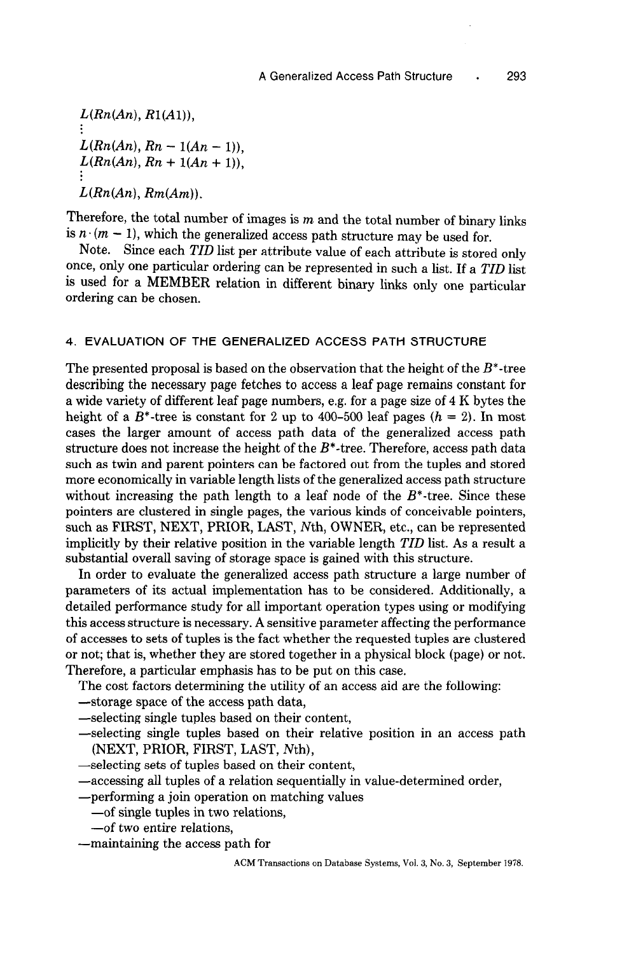```
L(Rn(An), R1(A1)),L(Rn(An), Rn - 1(An - 1)).L(Rn(An), Rn + 1(An + 1)).L(Rn(An), Rm(Am)).
```
Therefore, the total number of images is  $m$  and the total number of binary links is  $n \cdot (m - 1)$ , which the generalized access path structure may be used for.

Note. Since each *TID* list per attribute value of each attribute is stored only once, only one particular ordering can be represented in such a list. If a TID list is used for a MEMBER relation in different binary links only one particular ordering can be chosen.

# 4. EVALUATION OF THE GENERALIZED ACCESS PATH STRUCTURE

The presented proposal is based on the observation that the height of the  $B^*$ -tree describing the necessary page fetches to access a leaf page remains constant for a wide variety of different leaf page numbers, e.g. for a page size of 4 K bytes the height of a  $B^*$ -tree is constant for 2 up to 400-500 leaf pages ( $h = 2$ ). In most cases the larger amount of access path data of the generalized access path structure does not increase the height of the  $B^*$ -tree. Therefore, access path data such as twin and parent pointers can be factored out from the tuples and stored more economically in variable length lists of the generalized access path structure without increasing the path length to a leaf node of the  $B^*$ -tree. Since these pointers are clustered in single pages, the various kinds of conceivable pointers, such as FIRST, NEXT, PRIOR, LAST, Nth, OWNER, etc., can be represented implicitly by their relative position in the variable length TID list. As a result a substantial overall saving of storage space is gained with this structure.

In order to evaluate the generalized access path structure a large number of parameters of its actual implementation has to be considered. Additionally, a detailed performance study for all important operation types using or modifying this access structure is necessary. A sensitive parameter affecting the performance of accesses to sets of tuples is the fact whether the requested tuples are clustered or not; that is, whether they are stored together in a physical block (page) or not. Therefore, a particular emphasis has to be put on this case.

The cost factors determining the utility of an access aid are the following:

-storage space of the access path data,

-selecting single tuples based on their content,

-selecting single tuples based on their relative position in an access path (NEXT, PRIOR, FIRST, LAST, Nth),

- -selecting sets of tuples based on their content,
- -accessing all tuples of a relation sequentially in value-determined order,

-performing a join operation on matching values

- -of single tuples in two relations,
- -of two entire relations,

-maintaining the access path for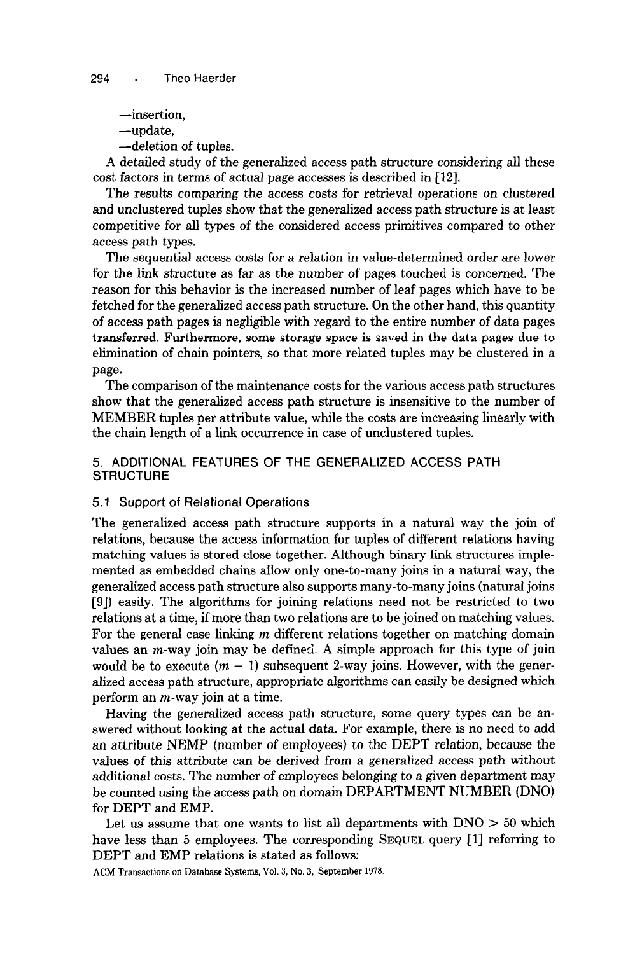-insertion,

-update,

-deletion of tuples.

A detailed study of the generalized access path structure considering all these cost factors in terms of actual page accesses is described in [12].

The results comparing the access costs for retrieval operations on clustered and unclustered tuples show that the generalized access path structure is at least competitive for all types of the considered access primitives compared to other access path types.

The sequential access costs for a relation in value-determined order are lower for the link structure as far as the number of pages touched is concerned. The reason for this behavior is the increased number of leaf pages which have to be fetched for the generalized access path structure. On the other hand, this quantity of access path pages is negligible with regard to the entire number of data pages transferred. Furthermore, some storage space is saved in the data pages due to elimination of chain pointers, so that more related tuples may be clustered in a page.

The comparison of the maintenance costs for the various access path structures show that the generalized access path structure is insensitive to the number of MEMBER tuples per attribute value, while the costs are increasing linearly with the chain length of a link occurrence in case of unclustered tuples.

# 5. ADDITIONAL FEATURES OF THE GENERALIZED ACCESS PATH **STRUCTURE**

### 5.1 Support of Relational Operations

The generalized access path structure supports in a natural way the join of relations, because the access information for tuples of different relations having matching values is stored close together. Although binary link structures implemented as embedded chains allow only one-to-many joins in a natural way, the generalized access path structure also supports many-to-many joins (natural joins [9]) easily. The algorithms for joining relations need not be restricted to two relations at a time, if more than two relations are to be joined on matching values. For the general case linking m different relations together on matching domain values an m-way join may be defined. A simple approach for this type of join would be to execute  $(m - 1)$  subsequent 2-way joins. However, with the generalized access path structure, appropriate algorithms can easily be designed which perform an m-way join at a time.

Having the generalized access path structure, some query types can be answered without looking at the actual data. For example, there is no need to add an attribute NEMP (number of employees) to the DEPT relation, because the values of this attribute can be derived from a generalized access path without additional costs. The number of employees belonging to a given department may be counted using the access path on domain DEPARTMENT NUMBER (DNO) for DEPT and EMP.

Let us assume that one wants to list all departments with  $DNO > 50$  which have less than 5 employees. The corresponding SEQUEL query [1] referring to DEPT and EMP relations is stated as follows: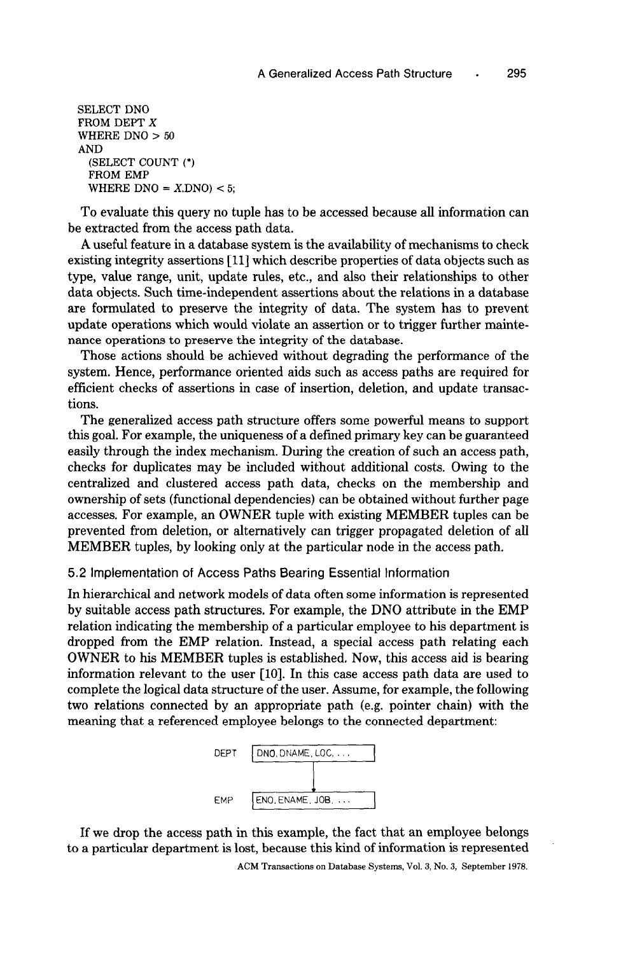```
SELECT DNO 
FROM DEPT X 
WHERE DNO > 50AND 
 (SELECT COUNT (*) 
 FROM EMP 
 WHERE DNO = X,DNO) < 5;
```
To evaluate this query no tuple has to be accessed because all information can be extracted from the access path data.

A useful feature in a database system is the availability of mechanisms to check existing integrity assertions [ 111 which describe properties of data objects such as type, value range, unit, update rules, etc., and also their relationships to other data objects. Such time-independent assertions about the relations in a database are formulated to preserve the integrity of data. The system has to prevent update operations which would violate an assertion or to trigger further maintenance operations to preserve the integrity of the database.

Those actions should be achieved without degrading the performance of the system. Hence, performance oriented aids such as access paths are required for efficient checks of assertions in case of insertion, deletion, and update transactions.

The generalized access path structure offers some powerful means to support this goal. For example, the uniqueness of a defined primary key can be guaranteed easily through the index mechanism. During the creation of such an access path, checks for duplicates may be included without additional costs. Owing to the centralized and clustered access path data, checks on the membership and ownership of sets (functional dependencies) can be obtained without further page accesses. For example, an OWNER tuple with existing MEMBER tuples can be prevented from deletion, or alternatively can trigger propagated deletion of all MEMBER tuples, by looking only at the particular node in the access path.

5.2 Implementation of Access Paths Bearing Essential Information

In hierarchical and network models of data often some information is represented by suitable access path structures. For example, the DNO attribute in the EMP relation indicating the membership of a particular employee to his department is dropped from the EMP relation. Instead, a special access path relating each OWNER to his MEMBER tuples is established. Now, this access aid is bearing information relevant to the user [lo]. In this case access path data are used to complete the logical data structure of the user. Assume, for example, the following two relations connected by an appropriate path (e.g. pointer chain) with the meaning that a referenced employee belongs to the connected department:



If we drop the access path in this example, the fact that an employee belongs to a particular department is lost, because this kind of information is represented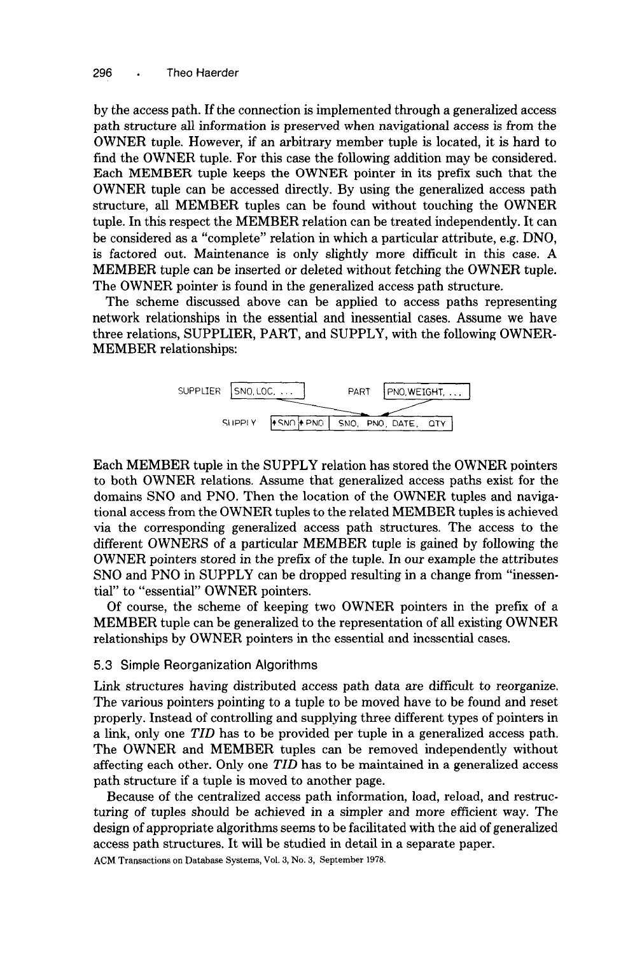by the access path. If the connection is implemented through a generalized access path structure all information is preserved when navigational access is from the OWNER tuple. However, if an arbitrary member tuple is located, it is hard to find the OWNER tuple. For this case the following addition may be considered. Each MEMBER tuple keeps the OWNER pointer in its prefix such that the OWNER tuple can be accessed directly. By using the generalized access path structure, all MEMBER tuples can be found without touching the OWNER tuple. In this respect the MEMBER relation can be treated independently. It can be considered as a "complete" relation in which a particular attribute, e.g. DNO, is factored out. Maintenance is only slightly more difficult in this case. A MEMBER tuple can be inserted or deleted without fetching the OWNER tuple. The OWNER pointer is found in the generalized access path structure.

The scheme discussed above can be applied to access paths representing network relationships in the essential and inessential cases. Assume we have three relations, SUPPLIER, PART, and SUPPLY, with the following OWNER-MEMBER relationships:



Each MEMBER tuple in the SUPPLY relation has stored the OWNER pointers to both OWNER relations. Assume that generalized access paths exist for the domains SNO and PNO. Then the location of the OWNER tuples and navigational access from the OWNER tuples to the related MEMBER tuples is achieved via the corresponding generalized access path structures. The access to the different OWNERS of a particular MEMBER tuple is gained by following the OWNER pointers stored in the prefix of the tuple. In our example the attributes SNO and PNO in SUPPLY can be dropped resulting in a change from "inessential" to "essential" OWNER pointers.

Of course, the scheme of keeping two OWNER pointers in the prefix of a MEMBER tuple can be generalized to the representation of all existing OWNER relationships by OWNER pointers in the essential and inessential cases.

## 5.3 Simple Reorganization Algorithms

Link structures having distributed access path data are difficult to reorganize. The various pointers pointing to a tuple to be moved have to be found and reset properly. Instead of controlling and supplying three different types of pointers in a link, only one TID has to be provided per tuple in a generalized access path. The OWNER and MEMBER tuples can be removed independently without affecting each other. Only one TID has to be maintained in a generalized access path structure if a tuple is moved to another page.

Because of the centralized access path information, load, reload, and restructuring of tuples should be achieved in a simpler and more efficient way. The design of appropriate algorithms seems to be facilitated with the aid of generalized access path structures. It will be studied in detail in a separate paper.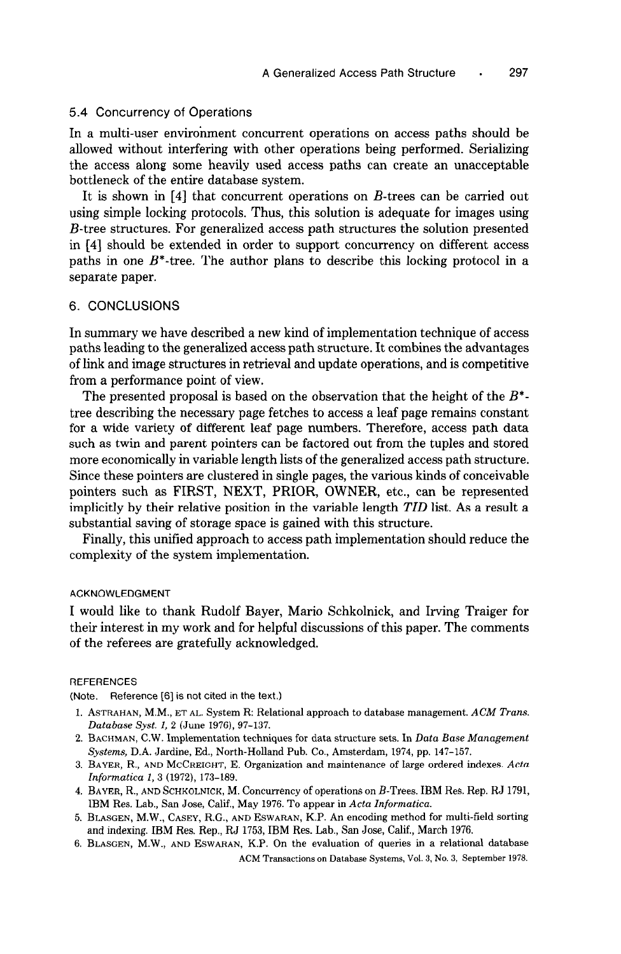#### 5.4 Concurrency of Operations

In a multi-user envirohment concurrent operations on access paths should be allowed without interfering with other operations being performed. Serializing the access along some heavily used access paths can create an unacceptable bottleneck of the entire database system.

It is shown in [4] that concurrent operations on B-trees can be carried out using simple locking protocols. Thus, this solution is adequate for images using B-tree structures. For generalized access path structures the solution presented in [4] should be extended in order to support concurrency on different access paths in one  $B^*$ -tree. The author plans to describe this locking protocol in a separate paper.

# 6. CONCLUSIONS

In summary we have described a new kind of implementation technique of access paths leading to the generalized access path structure. It combines the advantages of link and image structures in retrieval and update operations, and is competitive from a performance point of view.

The presented proposal is based on the observation that the height of the  $B^*$ tree describing the necessary page fetches to access a leaf page remains constant for a wide variety of different leaf page numbers. Therefore, access path data such as twin and parent pointers can be factored out from the tuples and stored more economically in variable length lists of the generalized access path structure. Since these pointers are clustered in single pages, the various kinds of conceivable pointers such as FIRST, NEXT, PRIOR, OWNER, etc., can be represented implicitly by their relative position in the variable length TID list. As a result a substantial saving of storage space is gained with this structure.

Finally, this unified approach to access path implementation should reduce the complexity of the system implementation.

#### ACKNOWLEDGMENT

I would like to thank Rudolf Bayer, Mario Schkolnick, and Irving Traiger for their interest in my work and for helpful discussions of this paper. The comments of the referees are gratefully acknowledged.

#### **REFERENCES**

(Note. Reference [6] is not cited in the text.)

- 1. ASTRAHAN, M.M., ET AL. System R: Relational approach to database management. ACM Trans. Database Syst. 1, 2 (June 1976), 97-137.
- 2. BACHMAN, C.W. Implementation techniques for data structure sets. In Data Base Management Systems, D.A. Jardine, Ed., North-Holland Pub. Co., Amsterdam, 1974, pp. 147-157.
- 3. BAYER, R., AND MCCREIGHT, E. Organization and maintenance of large ordered indexes. Acta Informatica 1, 3 (1972), 173-189.
- 4. BAYER, R., AND SCHKOLNICK, M. Concurrency of operations on B-Trees. IBM Res. Rep. RJ 1791, IBM Res. Lab., San Jose, Calif., May 1976. To appear in Acta Informatica.
- 5. BLASGEN, M.W., CASEY, R.G., AND ESWARAN, K.P. An encoding method for multi-field sorting and indexing. IBM Res. Rep., RJ 1753, IBM Res. Lab., San Jose, Calif., March 1976.
- 6. BLASGEN, M.W., AND ESWARAN, K.P. On the evaluation of queries in a relational database ACM Transactions on Database Systems, Vol. 3, No. 3, September 1978.